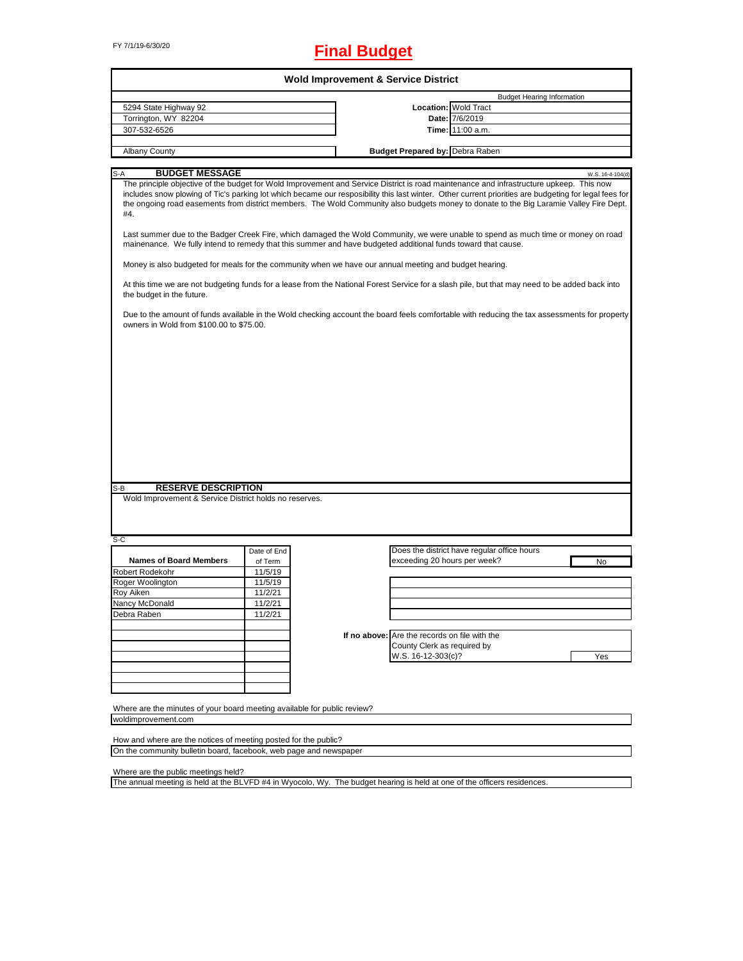# FY 7/1/19-6/30/20 **Final Budget**

|                                                                                                                                                                                                                                                                                                                                        |             | <b>Wold Improvement &amp; Service District</b> |                                                                                                                                                                                                                                                                                                                                                                                                                                                                                                                                                                                                                                                                                                                                                                                                                                                                                   |                  |
|----------------------------------------------------------------------------------------------------------------------------------------------------------------------------------------------------------------------------------------------------------------------------------------------------------------------------------------|-------------|------------------------------------------------|-----------------------------------------------------------------------------------------------------------------------------------------------------------------------------------------------------------------------------------------------------------------------------------------------------------------------------------------------------------------------------------------------------------------------------------------------------------------------------------------------------------------------------------------------------------------------------------------------------------------------------------------------------------------------------------------------------------------------------------------------------------------------------------------------------------------------------------------------------------------------------------|------------------|
|                                                                                                                                                                                                                                                                                                                                        |             |                                                | <b>Budget Hearing Information</b>                                                                                                                                                                                                                                                                                                                                                                                                                                                                                                                                                                                                                                                                                                                                                                                                                                                 |                  |
| 5294 State Highway 92                                                                                                                                                                                                                                                                                                                  |             |                                                | <b>Location: Wold Tract</b>                                                                                                                                                                                                                                                                                                                                                                                                                                                                                                                                                                                                                                                                                                                                                                                                                                                       |                  |
| Torrington, WY 82204                                                                                                                                                                                                                                                                                                                   |             |                                                | Date: 7/6/2019                                                                                                                                                                                                                                                                                                                                                                                                                                                                                                                                                                                                                                                                                                                                                                                                                                                                    |                  |
| 307-532-6526                                                                                                                                                                                                                                                                                                                           |             |                                                | Time: 11:00 a.m.                                                                                                                                                                                                                                                                                                                                                                                                                                                                                                                                                                                                                                                                                                                                                                                                                                                                  |                  |
| <b>Albany County</b>                                                                                                                                                                                                                                                                                                                   |             | <b>Budget Prepared by: Debra Raben</b>         |                                                                                                                                                                                                                                                                                                                                                                                                                                                                                                                                                                                                                                                                                                                                                                                                                                                                                   |                  |
|                                                                                                                                                                                                                                                                                                                                        |             |                                                |                                                                                                                                                                                                                                                                                                                                                                                                                                                                                                                                                                                                                                                                                                                                                                                                                                                                                   |                  |
| <b>BUDGET MESSAGE</b><br>S-A<br>#4.<br>mainenance. We fully intend to remedy that this summer and have budgeted additional funds toward that cause.<br>Money is also budgeted for meals for the community when we have our annual meeting and budget hearing.<br>the budget in the future.<br>owners in Wold from \$100.00 to \$75.00. |             |                                                | The principle objective of the budget for Wold Improvement and Service District is road maintenance and infrastructure upkeep. This now<br>includes snow plowing of Tic's parking lot which became our resposibility this last winter. Other current priorities are budgeting for legal fees for<br>the ongoing road easements from district members. The Wold Community also budgets money to donate to the Big Laramie Valley Fire Dept.<br>Last summer due to the Badger Creek Fire, which damaged the Wold Community, we were unable to spend as much time or money on road<br>At this time we are not budgeting funds for a lease from the National Forest Service for a slash pile, but that may need to be added back into<br>Due to the amount of funds available in the Wold checking account the board feels comfortable with reducing the tax assessments for property | W.S. 16-4-104(d) |
|                                                                                                                                                                                                                                                                                                                                        |             |                                                |                                                                                                                                                                                                                                                                                                                                                                                                                                                                                                                                                                                                                                                                                                                                                                                                                                                                                   |                  |
|                                                                                                                                                                                                                                                                                                                                        |             |                                                |                                                                                                                                                                                                                                                                                                                                                                                                                                                                                                                                                                                                                                                                                                                                                                                                                                                                                   |                  |
| <b>RESERVE DESCRIPTION</b><br>$S-B$                                                                                                                                                                                                                                                                                                    |             |                                                |                                                                                                                                                                                                                                                                                                                                                                                                                                                                                                                                                                                                                                                                                                                                                                                                                                                                                   |                  |
| Wold Improvement & Service District holds no reserves.                                                                                                                                                                                                                                                                                 | Date of End |                                                | Does the district have regular office hours                                                                                                                                                                                                                                                                                                                                                                                                                                                                                                                                                                                                                                                                                                                                                                                                                                       |                  |
| <b>Names of Board Members</b>                                                                                                                                                                                                                                                                                                          | of Term     |                                                | exceeding 20 hours per week?                                                                                                                                                                                                                                                                                                                                                                                                                                                                                                                                                                                                                                                                                                                                                                                                                                                      | No               |
|                                                                                                                                                                                                                                                                                                                                        | 11/5/19     |                                                |                                                                                                                                                                                                                                                                                                                                                                                                                                                                                                                                                                                                                                                                                                                                                                                                                                                                                   |                  |
|                                                                                                                                                                                                                                                                                                                                        | 11/5/19     |                                                |                                                                                                                                                                                                                                                                                                                                                                                                                                                                                                                                                                                                                                                                                                                                                                                                                                                                                   |                  |
|                                                                                                                                                                                                                                                                                                                                        | 11/2/21     |                                                |                                                                                                                                                                                                                                                                                                                                                                                                                                                                                                                                                                                                                                                                                                                                                                                                                                                                                   |                  |
|                                                                                                                                                                                                                                                                                                                                        | 11/2/21     |                                                |                                                                                                                                                                                                                                                                                                                                                                                                                                                                                                                                                                                                                                                                                                                                                                                                                                                                                   |                  |
|                                                                                                                                                                                                                                                                                                                                        | 11/2/21     |                                                |                                                                                                                                                                                                                                                                                                                                                                                                                                                                                                                                                                                                                                                                                                                                                                                                                                                                                   |                  |
|                                                                                                                                                                                                                                                                                                                                        |             |                                                |                                                                                                                                                                                                                                                                                                                                                                                                                                                                                                                                                                                                                                                                                                                                                                                                                                                                                   |                  |
|                                                                                                                                                                                                                                                                                                                                        |             | If no above: Are the records on file with the  |                                                                                                                                                                                                                                                                                                                                                                                                                                                                                                                                                                                                                                                                                                                                                                                                                                                                                   |                  |
|                                                                                                                                                                                                                                                                                                                                        |             | County Clerk as required by                    |                                                                                                                                                                                                                                                                                                                                                                                                                                                                                                                                                                                                                                                                                                                                                                                                                                                                                   |                  |
| S-C<br>Robert Rodekohr<br>Roger Woolington<br>Roy Aiken<br>Nancy McDonald<br>Debra Raben                                                                                                                                                                                                                                               |             | W.S. 16-12-303(c)?                             |                                                                                                                                                                                                                                                                                                                                                                                                                                                                                                                                                                                                                                                                                                                                                                                                                                                                                   | Yes              |
|                                                                                                                                                                                                                                                                                                                                        |             |                                                |                                                                                                                                                                                                                                                                                                                                                                                                                                                                                                                                                                                                                                                                                                                                                                                                                                                                                   |                  |
|                                                                                                                                                                                                                                                                                                                                        |             |                                                |                                                                                                                                                                                                                                                                                                                                                                                                                                                                                                                                                                                                                                                                                                                                                                                                                                                                                   |                  |
|                                                                                                                                                                                                                                                                                                                                        |             |                                                |                                                                                                                                                                                                                                                                                                                                                                                                                                                                                                                                                                                                                                                                                                                                                                                                                                                                                   |                  |

woldimprovement.com

How and where are the notices of meeting posted for the public? On the community bulletin board, facebook, web page and newspaper

Where are the public meetings held?

The annual meeting is held at the BLVFD #4 in Wyocolo, Wy. The budget hearing is held at one of the officers residences.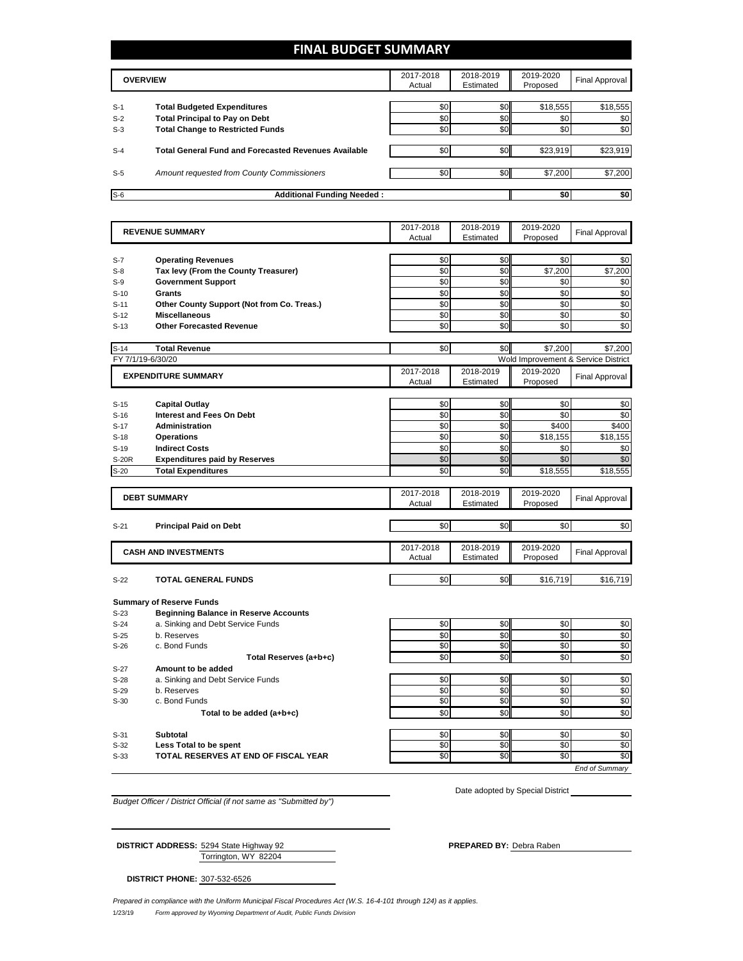# **FINAL BUDGET SUMMARY**

|       | <b>OVERVIEW</b>                                             |     | 2018-2019<br>Estimated | 2019-2020<br>Proposed | Final Approval |
|-------|-------------------------------------------------------------|-----|------------------------|-----------------------|----------------|
| $S-1$ | <b>Total Budgeted Expenditures</b>                          | \$0 | \$0                    | \$18,555              | \$18,555       |
| $S-2$ | <b>Total Principal to Pay on Debt</b>                       | \$0 | \$0                    | \$0                   | \$0            |
| $S-3$ | <b>Total Change to Restricted Funds</b>                     | \$0 | \$0                    | \$0                   | \$0            |
| $S-4$ | <b>Total General Fund and Forecasted Revenues Available</b> | \$0 | \$0                    | \$23,919              | \$23,919       |
| $S-5$ | Amount requested from County Commissioners                  | \$0 | \$0 <sub>1</sub>       | \$7,200               | \$7,200        |
| $S-6$ | <b>Additional Funding Needed:</b>                           |     |                        | \$0                   | \$0            |

|                   | <b>REVENUE SUMMARY</b>                       | 2017-2018<br>Actual | 2018-2019<br>Estimated | 2019-2020<br>Proposed | <b>Final Approval</b>               |
|-------------------|----------------------------------------------|---------------------|------------------------|-----------------------|-------------------------------------|
|                   |                                              |                     |                        |                       |                                     |
| $S-7$             | <b>Operating Revenues</b>                    | \$0                 | \$0                    | \$0                   | \$0                                 |
| $S-8$             | Tax levy (From the County Treasurer)         | \$0                 | \$0                    | \$7,200               | \$7,200                             |
| $S-9$             | <b>Government Support</b>                    | \$0                 | \$0                    | \$0                   | \$0                                 |
| $S-10$            | Grants                                       | \$0                 | \$0                    | \$0                   | \$0                                 |
| $S-11$            | Other County Support (Not from Co. Treas.)   | \$0                 | \$0                    | \$0                   | \$0                                 |
| $S-12$            | <b>Miscellaneous</b>                         | \$0                 | \$0                    | \$0                   | \$0                                 |
| $S-13$            | <b>Other Forecasted Revenue</b>              | \$0                 | \$0                    | \$0                   | \$0                                 |
| $S-14$            | <b>Total Revenue</b>                         | \$0                 | \$0                    | \$7.200               | \$7.200                             |
| FY 7/1/19-6/30/20 |                                              |                     |                        |                       | Wold Improvement & Service District |
|                   | <b>EXPENDITURE SUMMARY</b>                   | 2017-2018           | 2018-2019              | 2019-2020             |                                     |
|                   |                                              | Actual              | Estimated              | Proposed              | <b>Final Approval</b>               |
| $S-15$            | <b>Capital Outlay</b>                        | \$0                 | \$0                    | \$0                   | \$0                                 |
| $S-16$            | <b>Interest and Fees On Debt</b>             | \$0                 | \$0                    | \$0                   | \$0                                 |
| $S-17$            | Administration                               | \$0                 | \$0                    | \$400                 | \$400                               |
| $S-18$            | <b>Operations</b>                            | \$0                 | \$0                    | \$18,155              | \$18,155                            |
| $S-19$            | <b>Indirect Costs</b>                        | \$0                 | \$0                    | \$0                   | \$0                                 |
| <b>S-20R</b>      | <b>Expenditures paid by Reserves</b>         | \$0                 | \$0                    | \$0                   | \$0                                 |
| $S-20$            | <b>Total Expenditures</b>                    | \$0                 | \$0                    | \$18,555              | \$18,555                            |
|                   |                                              |                     |                        |                       |                                     |
|                   | <b>DEBT SUMMARY</b>                          | 2017-2018           | 2018-2019              | 2019-2020             | <b>Final Approval</b>               |
|                   |                                              | Actual              | Estimated              | Proposed              |                                     |
|                   |                                              | \$0                 | \$0                    | \$0                   | \$0                                 |
| $S-21$            | <b>Principal Paid on Debt</b>                |                     |                        |                       |                                     |
|                   | <b>CASH AND INVESTMENTS</b>                  | 2017-2018           | 2018-2019              | 2019-2020             | <b>Final Approval</b>               |
|                   |                                              | Actual              | Estimated              | Proposed              |                                     |
| $S-22$            | <b>TOTAL GENERAL FUNDS</b>                   | \$0                 | \$0                    | \$16,719              | \$16,719                            |
|                   |                                              |                     |                        |                       |                                     |
|                   | <b>Summary of Reserve Funds</b>              |                     |                        |                       |                                     |
| $S-23$            | <b>Beginning Balance in Reserve Accounts</b> |                     |                        |                       |                                     |
| $S-24$            | a. Sinking and Debt Service Funds            | \$0                 | \$0                    | \$0                   | \$0                                 |
| $S-25$            | b. Reserves                                  | \$0                 | \$0                    | \$0                   | \$0                                 |
| $S-26$            | c. Bond Funds                                | \$0                 | \$0                    | \$0                   | \$0                                 |
|                   | Total Reserves (a+b+c)                       | \$0                 | \$0                    | \$0                   | \$0                                 |
| $S-27$            | Amount to be added                           |                     |                        |                       |                                     |
| $S-28$            | a. Sinking and Debt Service Funds            | \$0                 | \$0                    | \$0                   | \$0                                 |
| $S-29$            | b. Reserves                                  | \$0                 | \$0                    | \$0                   | \$0                                 |
| $S-30$            | c. Bond Funds                                | \$0                 | \$0                    | \$0                   | \$0                                 |
|                   | Total to be added (a+b+c)                    | \$0                 | \$0                    | \$0                   | \$0                                 |
| $S-31$            | <b>Subtotal</b>                              | \$0                 | \$0                    | \$0                   | \$0                                 |
| $S-32$            | Less Total to be spent                       | \$0                 | \$0                    | \$0                   | \$0                                 |
| $S-33$            |                                              |                     |                        |                       |                                     |
|                   | TOTAL RESERVES AT END OF FISCAL YEAR         | \$0                 | \$0                    | \$0                   | \$0                                 |

*Budget Officer / District Official (if not same as "Submitted by")*

Date adopted by Special District

Torrington, WY 82204 **DISTRICT ADDRESS:** 5294 State Highway 92 **PREPARED BY:** Debra Raben

**DISTRICT PHONE:** 307-532-6526

1/23/19 *Form approved by Wyoming Department of Audit, Public Funds Division Prepared in compliance with the Uniform Municipal Fiscal Procedures Act (W.S. 16-4-101 through 124) as it applies.*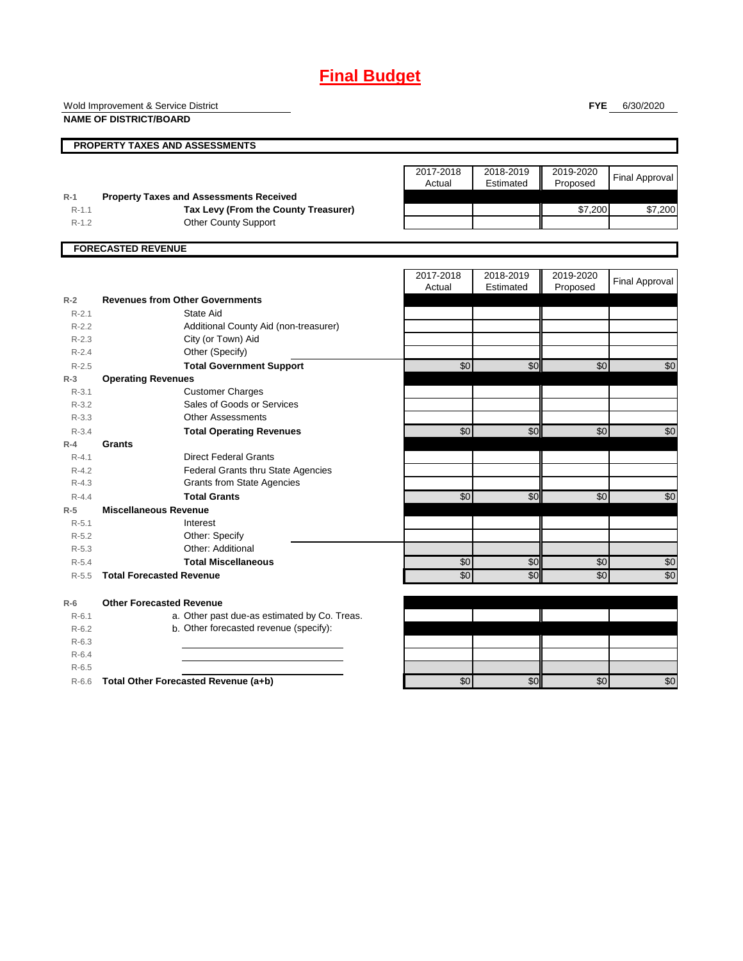# **Final Budget**

Wold Improvement & Service District

**NAME OF DISTRICT/BOARD**

**FYE** 6/30/2020

|                        |                                                | 2017-2018<br>Actual | 2018-2019<br>Estimated | 2019-2020<br>Proposed | <b>Final Approval</b> |
|------------------------|------------------------------------------------|---------------------|------------------------|-----------------------|-----------------------|
| $R-1$                  | <b>Property Taxes and Assessments Received</b> |                     |                        |                       |                       |
| $R - 1.1$              | Tax Levy (From the County Treasurer)           |                     |                        | \$7,200               | \$7,200               |
| $R-1.2$                | Other County Support                           |                     |                        |                       |                       |
|                        | <b>FORECASTED REVENUE</b>                      |                     |                        |                       |                       |
|                        |                                                | 2017-2018           | 2018-2019              | 2019-2020             | <b>Final Approval</b> |
|                        | <b>Revenues from Other Governments</b>         | Actual              | Estimated              | Proposed              |                       |
| $R-2$                  | State Aid                                      |                     |                        |                       |                       |
| $R - 2.1$              |                                                |                     |                        |                       |                       |
| $R-2.2$                | Additional County Aid (non-treasurer)          |                     |                        |                       |                       |
| $R - 2.3$<br>$R - 2.4$ | City (or Town) Aid<br>Other (Specify)          |                     |                        |                       |                       |
| $R - 2.5$              | <b>Total Government Support</b>                | $\overline{60}$     | $\overline{50}$        | \$0                   | \$0                   |
| $R-3$                  | <b>Operating Revenues</b>                      |                     |                        |                       |                       |
| $R - 3.1$              | <b>Customer Charges</b>                        |                     |                        |                       |                       |
| $R-3.2$                | Sales of Goods or Services                     |                     |                        |                       |                       |
| $R - 3.3$              | <b>Other Assessments</b>                       |                     |                        |                       |                       |
| $R - 3.4$              | <b>Total Operating Revenues</b>                | $\overline{50}$     | $\overline{50}$        | \$0                   | \$0                   |
| $R-4$                  | Grants                                         |                     |                        |                       |                       |
| $R - 4.1$              | <b>Direct Federal Grants</b>                   |                     |                        |                       |                       |
| $R - 4.2$              | Federal Grants thru State Agencies             |                     |                        |                       |                       |
| $R-4.3$                | <b>Grants from State Agencies</b>              |                     |                        |                       |                       |
| $R - 4.4$              | <b>Total Grants</b>                            | \$0                 | $\overline{50}$        | \$0                   | \$0                   |
| $R-5$                  | <b>Miscellaneous Revenue</b>                   |                     |                        |                       |                       |
| $R - 5.1$              | Interest                                       |                     |                        |                       |                       |
| $R-5.2$                | Other: Specify                                 |                     |                        |                       |                       |
| $R-5.3$                | Other: Additional                              |                     |                        |                       |                       |
| $R - 5.4$              | <b>Total Miscellaneous</b>                     | \$0                 | \$0                    | \$0                   | \$0                   |
| $R - 5.5$              | <b>Total Forecasted Revenue</b>                | \$0                 | \$0                    | \$0                   | \$0                   |
| $R-6$                  | <b>Other Forecasted Revenue</b>                |                     |                        |                       |                       |
| $R-6.1$                | a. Other past due-as estimated by Co. Treas.   |                     |                        |                       |                       |
| $R-6.2$                | b. Other forecasted revenue (specify):         |                     |                        |                       |                       |
| $R - 6.3$              |                                                |                     |                        |                       |                       |
| $R-6.4$                |                                                |                     |                        |                       |                       |
| $R-6.5$                |                                                |                     |                        |                       |                       |
| $R-6.6$                | Total Other Forecasted Revenue (a+b)           | $\overline{50}$     | $\overline{50}$        | \$0                   | \$0                   |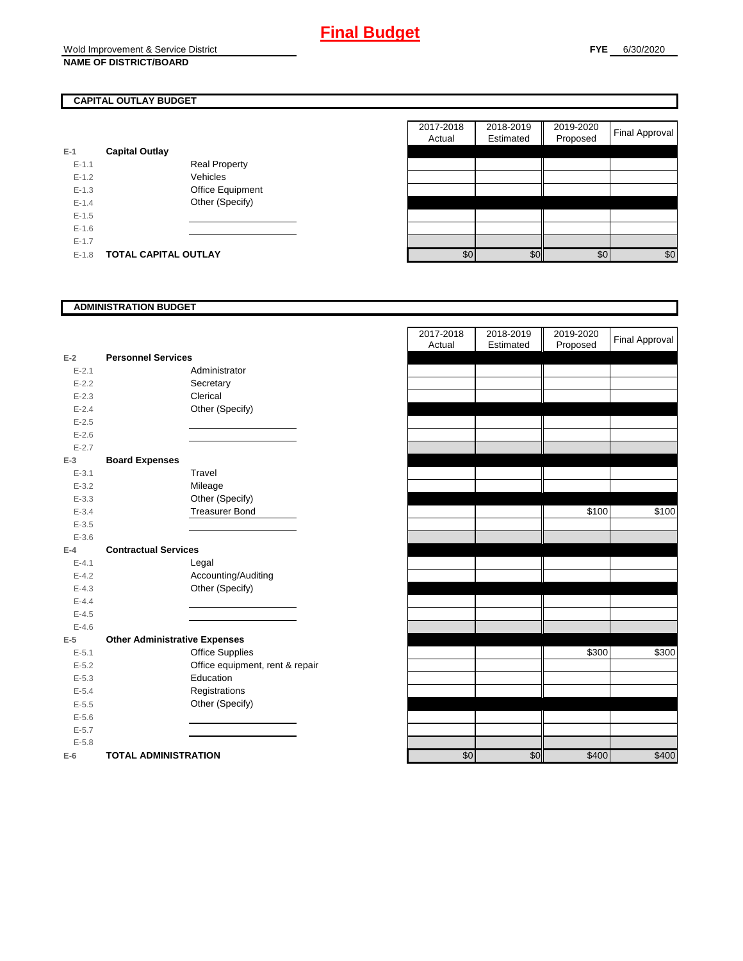## **CAPITAL OUTLAY BUDGET**

| E-1       | <b>Capital Outlay</b> |                         |
|-----------|-----------------------|-------------------------|
| $F-11$    |                       | <b>Real Property</b>    |
| $F-12$    |                       | Vehicles                |
| $F-1.3$   |                       | <b>Office Equipment</b> |
| $F-14$    |                       | Other (Specify)         |
| $F-1.5$   |                       |                         |
| $F-16$    |                       |                         |
| $F-17$    |                       |                         |
| $E - 1.8$ | TOTAL CAPITAL OUTLAY  |                         |

|           |                             |                      | 2017-2018<br>Actual | 2018-2019<br>Estimated | 2019-2020<br>Proposed | <b>Final Approval</b> |
|-----------|-----------------------------|----------------------|---------------------|------------------------|-----------------------|-----------------------|
|           | <b>Capital Outlay</b>       |                      |                     |                        |                       |                       |
| $E - 1.1$ |                             | <b>Real Property</b> |                     |                        |                       |                       |
| $E - 1.2$ |                             | Vehicles             |                     |                        |                       |                       |
| $E-1.3$   |                             | Office Equipment     |                     |                        |                       |                       |
| $E - 1.4$ |                             | Other (Specify)      |                     |                        |                       |                       |
| $E-1.5$   |                             |                      |                     |                        |                       |                       |
| $E-1.6$   |                             |                      |                     |                        |                       |                       |
| $E - 1.7$ |                             |                      |                     |                        |                       |                       |
| $E-1.8$   | <b>TOTAL CAPITAL OUTLAY</b> |                      | \$0                 | \$0                    | \$0                   | \$0                   |

#### **ADMINISTRATION BUDGET**

| $E-2$     | <b>Personnel Services</b>            |                                 |
|-----------|--------------------------------------|---------------------------------|
| $E - 2.1$ |                                      | Administrator                   |
| $E - 2.2$ |                                      | Secretary                       |
| $E - 2.3$ |                                      | Clerical                        |
| $E - 2.4$ |                                      | Other (Specify)                 |
| $E - 2.5$ |                                      |                                 |
| $E - 2.6$ |                                      |                                 |
| $E - 2.7$ |                                      |                                 |
| $E-3$     | <b>Board Expenses</b>                |                                 |
| $E - 3.1$ |                                      | Travel                          |
| $E - 3.2$ |                                      | Mileage                         |
| $E - 3.3$ |                                      | Other (Specify)                 |
| $E - 3.4$ |                                      | <b>Treasurer Bond</b>           |
| $E - 3.5$ |                                      |                                 |
| $E - 3.6$ |                                      |                                 |
| $E-4$     | <b>Contractual Services</b>          |                                 |
| $E - 4.1$ |                                      | Legal                           |
| $E - 4.2$ |                                      | Accounting/Auditing             |
| $E - 4.3$ |                                      | Other (Specify)                 |
| $E - 4.4$ |                                      |                                 |
| $E - 4.5$ |                                      |                                 |
| $E - 4.6$ |                                      |                                 |
| $E-5$     | <b>Other Administrative Expenses</b> |                                 |
| $E - 5.1$ |                                      | <b>Office Supplies</b>          |
| $E - 5.2$ |                                      | Office equipment, rent & repair |
| $E - 5.3$ |                                      | Education                       |
| $E - 5.4$ |                                      | Registrations                   |
| $E - 5.5$ |                                      | Other (Specify)                 |
| $E - 5.6$ |                                      |                                 |
| $E - 5.7$ |                                      |                                 |
| $E - 5.8$ |                                      |                                 |
| F-6 I     | TOTAL ADMINISTRATION                 |                                 |

|           |                                      |                                 | 2017-2018<br>Actual | 2018-2019<br>Estimated | 2019-2020<br>Proposed | <b>Final Approval</b> |
|-----------|--------------------------------------|---------------------------------|---------------------|------------------------|-----------------------|-----------------------|
| $E-2$     | <b>Personnel Services</b>            |                                 |                     |                        |                       |                       |
| $E - 2.1$ |                                      | Administrator                   |                     |                        |                       |                       |
| $E - 2.2$ |                                      | Secretary                       |                     |                        |                       |                       |
| $E - 2.3$ |                                      | Clerical                        |                     |                        |                       |                       |
| $E - 2.4$ |                                      | Other (Specify)                 |                     |                        |                       |                       |
| $E - 2.5$ |                                      |                                 |                     |                        |                       |                       |
| $E - 2.6$ |                                      |                                 |                     |                        |                       |                       |
| $E - 2.7$ |                                      |                                 |                     |                        |                       |                       |
| $E-3$     | <b>Board Expenses</b>                |                                 |                     |                        |                       |                       |
| $E - 3.1$ |                                      | Travel                          |                     |                        |                       |                       |
| $E - 3.2$ |                                      | Mileage                         |                     |                        |                       |                       |
| $E - 3.3$ |                                      | Other (Specify)                 |                     |                        |                       |                       |
| $E - 3.4$ |                                      | <b>Treasurer Bond</b>           |                     |                        | \$100                 | \$100                 |
| $E - 3.5$ |                                      |                                 |                     |                        |                       |                       |
| $E - 3.6$ |                                      |                                 |                     |                        |                       |                       |
| $E-4$     | <b>Contractual Services</b>          |                                 |                     |                        |                       |                       |
| $E - 4.1$ |                                      | Legal                           |                     |                        |                       |                       |
| $E - 4.2$ |                                      | Accounting/Auditing             |                     |                        |                       |                       |
| $E - 4.3$ |                                      | Other (Specify)                 |                     |                        |                       |                       |
| $E - 4.4$ |                                      |                                 |                     |                        |                       |                       |
| $E - 4.5$ |                                      |                                 |                     |                        |                       |                       |
| $E - 4.6$ |                                      |                                 |                     |                        |                       |                       |
| $E-5$     | <b>Other Administrative Expenses</b> |                                 |                     |                        |                       |                       |
| $E - 5.1$ |                                      | <b>Office Supplies</b>          |                     |                        | \$300                 | \$300                 |
| $E - 5.2$ |                                      | Office equipment, rent & repair |                     |                        |                       |                       |
| $E - 5.3$ |                                      | Education                       |                     |                        |                       |                       |
| $E - 5.4$ |                                      | Registrations                   |                     |                        |                       |                       |
| $E - 5.5$ |                                      | Other (Specify)                 |                     |                        |                       |                       |
| $E - 5.6$ |                                      |                                 |                     |                        |                       |                       |
| $E - 5.7$ |                                      |                                 |                     |                        |                       |                       |
| $E - 5.8$ |                                      |                                 |                     |                        |                       |                       |
| $E-6$     | <b>TOTAL ADMINISTRATION</b>          |                                 | \$0                 | \$0                    | \$400                 | \$400                 |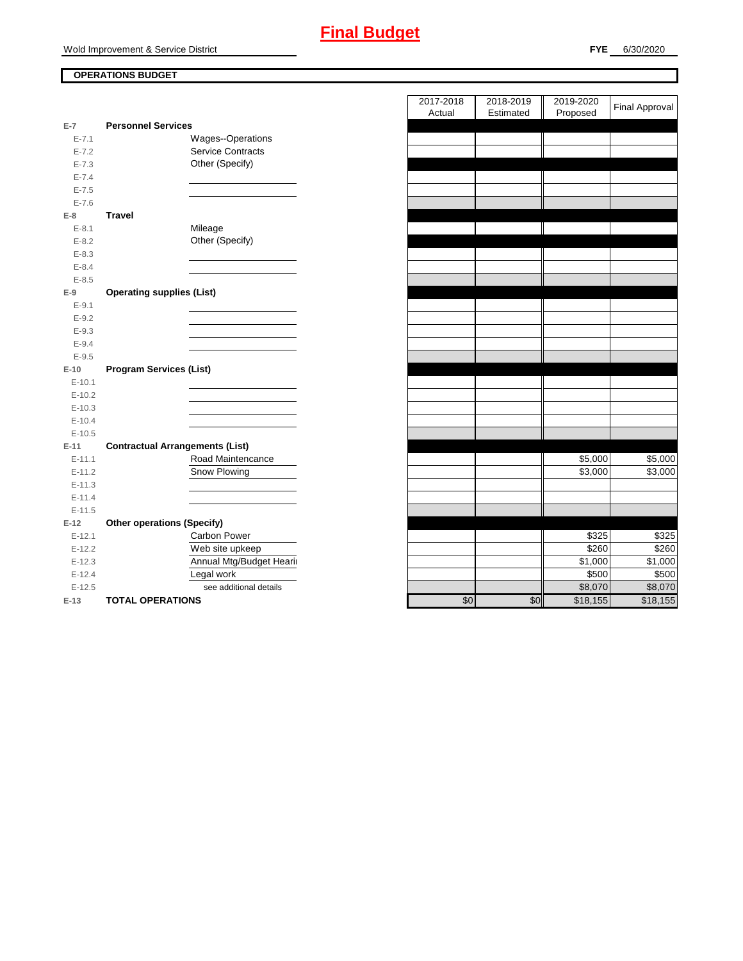## **OPERATIONS BUDGET**

| $E-7$      | <b>Personnel Services</b>              |                          |
|------------|----------------------------------------|--------------------------|
| $E - 7.1$  |                                        | <b>Wages--Operations</b> |
| $E - 7.2$  |                                        | <b>Service Contracts</b> |
| $E - 7.3$  |                                        | Other (Specify)          |
| $E - 7.4$  |                                        |                          |
| $E - 7.5$  |                                        |                          |
| $E - 7.6$  |                                        |                          |
| E-8        | Travel                                 |                          |
| $E - 8.1$  |                                        | Mileage                  |
| $E-8.2$    |                                        | Other (Specify)          |
| $E - 8.3$  |                                        |                          |
| $E - 8.4$  |                                        |                          |
| $E - 8.5$  |                                        |                          |
| E-9        | <b>Operating supplies (List)</b>       |                          |
| $E-9.1$    |                                        |                          |
| $E - 9.2$  |                                        |                          |
| $E - 9.3$  |                                        |                          |
| $E - 9.4$  |                                        |                          |
| $E - 9.5$  |                                        |                          |
| $E-10$     | <b>Program Services (List)</b>         |                          |
| $E - 10.1$ |                                        |                          |
|            |                                        |                          |
| $E-10.2$   |                                        |                          |
| $E-10.3$   |                                        |                          |
| $E-10.4$   |                                        |                          |
| $E-10.5$   |                                        |                          |
| $E-11$     | <b>Contractual Arrangements (List)</b> |                          |
| $E - 11.1$ |                                        | Road Maintencance        |
| $E-11.2$   |                                        | Snow Plowing             |
| $E-11.3$   |                                        |                          |
| $E-11.4$   |                                        |                          |
| $E-11.5$   |                                        |                          |
| $E-12$     | <b>Other operations (Specify)</b>      |                          |
| $E-12.1$   |                                        | Carbon Power             |
| $E-12.2$   |                                        | Web site upkeep          |
| $E-12.3$   |                                        | Annual Mtg/Budget Hearir |
| $E-12.4$   |                                        | Legal work               |
| $E-12.5$   |                                        | see additional details   |

|                |                                        | 2017-2018<br>Actual | 2018-2019<br>Estimated | 2019-2020<br>Proposed | <b>Final Approval</b> |
|----------------|----------------------------------------|---------------------|------------------------|-----------------------|-----------------------|
| $\overline{7}$ | <b>Personnel Services</b>              |                     |                        |                       |                       |
| $E - 7.1$      | Wages--Operations                      |                     |                        |                       |                       |
| $E - 7.2$      | Service Contracts                      |                     |                        |                       |                       |
| $E - 7.3$      | Other (Specify)                        |                     |                        |                       |                       |
| $E - 7.4$      |                                        |                     |                        |                       |                       |
| $E - 7.5$      |                                        |                     |                        |                       |                       |
| $E - 7.6$      |                                        |                     |                        |                       |                       |
| 8              | <b>Travel</b>                          |                     |                        |                       |                       |
| $E - 8.1$      | Mileage                                |                     |                        |                       |                       |
| $E - 8.2$      | Other (Specify)                        |                     |                        |                       |                       |
| $E - 8.3$      |                                        |                     |                        |                       |                       |
| $E - 8.4$      |                                        |                     |                        |                       |                       |
| $E - 8.5$      |                                        |                     |                        |                       |                       |
| 9              | <b>Operating supplies (List)</b>       |                     |                        |                       |                       |
| $E - 9.1$      |                                        |                     |                        |                       |                       |
| $E-9.2$        |                                        |                     |                        |                       |                       |
| $E-9.3$        |                                        |                     |                        |                       |                       |
| $E-9.4$        |                                        |                     |                        |                       |                       |
| $E - 9.5$      |                                        |                     |                        |                       |                       |
| 10             | <b>Program Services (List)</b>         |                     |                        |                       |                       |
| $E-10.1$       |                                        |                     |                        |                       |                       |
| $E-10.2$       |                                        |                     |                        |                       |                       |
| $E-10.3$       |                                        |                     |                        |                       |                       |
| $E-10.4$       |                                        |                     |                        |                       |                       |
| $E-10.5$       |                                        |                     |                        |                       |                       |
| 11             | <b>Contractual Arrangements (List)</b> |                     |                        |                       |                       |
| $E-11.1$       | Road Maintencance                      |                     |                        | \$5,000               | \$5,000               |
| $E-11.2$       | Snow Plowing                           |                     |                        | \$3,000               | \$3,000               |
| $E-11.3$       |                                        |                     |                        |                       |                       |
| $E-11.4$       |                                        |                     |                        |                       |                       |
| $E-11.5$       |                                        |                     |                        |                       |                       |
| 12             | <b>Other operations (Specify)</b>      |                     |                        |                       |                       |
| $E-12.1$       | Carbon Power                           |                     |                        | \$325                 | \$325                 |
| $E-12.2$       | Web site upkeep                        |                     |                        | \$260                 | \$260                 |
| $E-12.3$       | Annual Mtg/Budget Hearii               |                     |                        | \$1,000               | \$1,000               |
| $E-12.4$       | Legal work                             |                     |                        | \$500                 | \$500                 |
| $E-12.5$       | see additional details                 |                     |                        | \$8,070               | \$8,070               |
| 13             | <b>TOTAL OPERATIONS</b>                | \$0                 | \$0                    | \$18.155              | \$18.155              |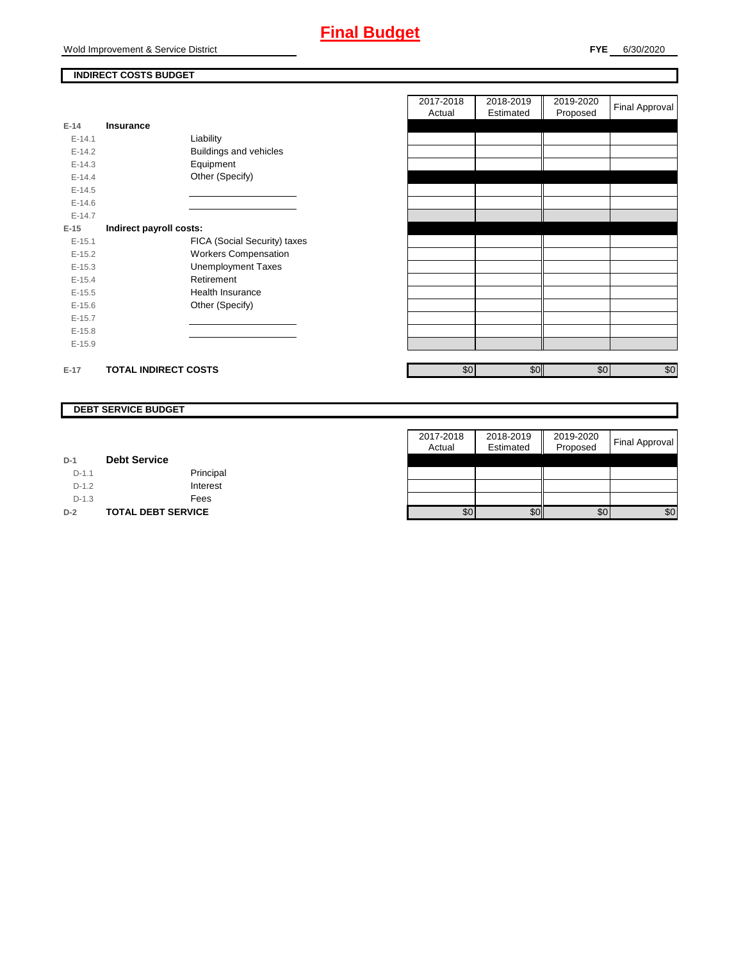# **Final Budget**

Wold Improvement & Service District

## **INDIRECT COSTS BUDGET**

| E-14       | Insurance                   |                               |
|------------|-----------------------------|-------------------------------|
| $F-141$    |                             | Liability                     |
| $F-142$    |                             | <b>Buildings and vehicles</b> |
| $F-14.3$   |                             | Equipment                     |
| $E-14.4$   |                             | Other (Specify)               |
| $E-14.5$   |                             |                               |
| $F-146$    |                             |                               |
| $F-147$    |                             |                               |
| $E-15$     | Indirect payroll costs:     |                               |
| $F-151$    |                             | FICA (Social Security) taxes  |
| $E-15.2$   |                             | <b>Workers Compensation</b>   |
| $E-15.3$   |                             | <b>Unemployment Taxes</b>     |
| $E-15.4$   |                             | Retirement                    |
| $E-15.5$   |                             | Health Insurance              |
| $E - 15.6$ |                             | Other (Specify)               |
| $E-15.7$   |                             |                               |
| $E-15.8$   |                             |                               |
| $E-15.9$   |                             |                               |
|            |                             |                               |
| $E-17$     | <b>TOTAL INDIRECT COSTS</b> |                               |

| 2017-2018<br>Actual | 2018-2019<br>Estimated | 2019-2020<br>Proposed | <b>Final Approval</b> |
|---------------------|------------------------|-----------------------|-----------------------|
|                     |                        |                       |                       |
|                     |                        |                       |                       |
|                     |                        |                       |                       |
|                     |                        |                       |                       |
|                     |                        |                       |                       |
|                     |                        |                       |                       |
|                     |                        |                       |                       |
|                     |                        |                       |                       |
|                     |                        |                       |                       |
|                     |                        |                       |                       |
|                     |                        |                       |                       |
|                     |                        |                       |                       |
|                     |                        |                       |                       |
|                     |                        |                       |                       |
|                     |                        |                       |                       |
|                     |                        |                       |                       |
|                     |                        |                       |                       |
|                     |                        |                       |                       |
| \$0                 | \$0                    | \$0                   | \$0                   |
|                     |                        |                       |                       |

#### **DEBT SERVICE BUDGET**

|         |                           | 2017-2018 | 2018-2019 | 2019-2020 |                       |
|---------|---------------------------|-----------|-----------|-----------|-----------------------|
|         |                           | Actual    | Estimated | Proposed  | <b>Final Approval</b> |
| $D-1$   | <b>Debt Service</b>       |           |           |           |                       |
| $D-1.1$ | Principal                 |           |           |           |                       |
| $D-1.2$ | Interest                  |           |           |           |                       |
| $D-1.3$ | Fees                      |           |           |           |                       |
| $D-2$   | <b>TOTAL DEBT SERVICE</b> | \$0       | \$0       | \$0       | \$0                   |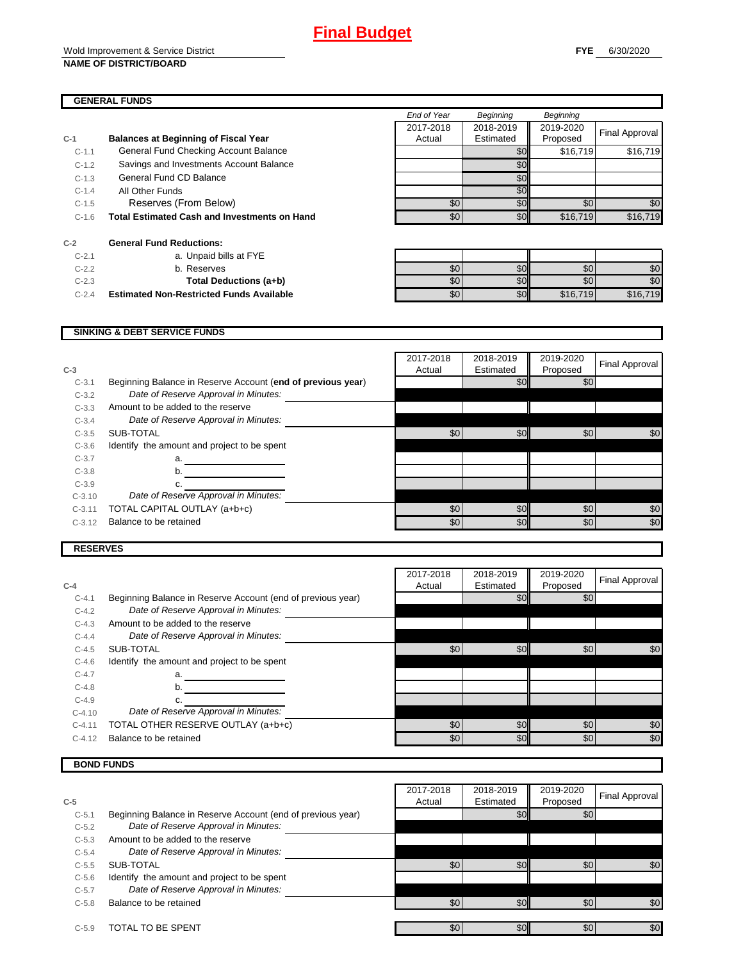#### Wold Improvement & Service District **NAME OF DISTRICT/BOARD**

#### **GENERAL FUNDS**

|         |                                                     | End of Year | Beginning | Beginning |                |
|---------|-----------------------------------------------------|-------------|-----------|-----------|----------------|
|         |                                                     | 2017-2018   | 2018-2019 | 2019-2020 |                |
| $C-1$   | <b>Balances at Beginning of Fiscal Year</b>         | Actual      | Estimated | Proposed  | Final Approval |
| $C-1.1$ | General Fund Checking Account Balance               |             | \$0       | \$16,719  | \$16,719       |
| $C-1.2$ | Savings and Investments Account Balance             |             | \$0       |           |                |
| $C-1.3$ | General Fund CD Balance                             |             | \$0       |           |                |
| $C-1.4$ | All Other Funds                                     |             | \$0       |           |                |
| $C-1.5$ | Reserves (From Below)                               | \$0         | \$0       | \$0       | \$0            |
| $C-1.6$ | <b>Total Estimated Cash and Investments on Hand</b> | \$0         | \$0       | \$16,719  | \$16,719       |
| $C-2$   | <b>General Fund Reductions:</b>                     |             |           |           |                |
| $C-2.1$ | a. Unpaid bills at FYE                              |             |           |           |                |
| $C-2.2$ | b. Reserves                                         | \$0         | \$0       | \$0       | \$0            |
| $C-2.3$ | Total Deductions (a+b)                              | \$0         | \$0       | \$0       | \$0            |
| $C-2.4$ | <b>Estimated Non-Restricted Funds Available</b>     | \$0         | \$0       | \$16,719  | \$16,719       |

#### **SINKING & DEBT SERVICE FUNDS**

| $C-3$    |                                                             | 2017-2018<br>Actual | 2018-2019<br>Estimated | 2019-2020<br>Proposed | Final Approval |
|----------|-------------------------------------------------------------|---------------------|------------------------|-----------------------|----------------|
| $C-3.1$  | Beginning Balance in Reserve Account (end of previous year) |                     | \$0                    | \$0                   |                |
| $C-3.2$  | Date of Reserve Approval in Minutes:                        |                     |                        |                       |                |
| $C-3.3$  | Amount to be added to the reserve                           |                     |                        |                       |                |
| $C-3.4$  | Date of Reserve Approval in Minutes:                        |                     |                        |                       |                |
| $C-3.5$  | SUB-TOTAL                                                   | \$0                 | \$0                    | \$0                   | \$0            |
| $C-3.6$  | Identify the amount and project to be spent                 |                     |                        |                       |                |
| $C-3.7$  | a.                                                          |                     |                        |                       |                |
| $C-3.8$  | b.                                                          |                     |                        |                       |                |
| $C-3.9$  |                                                             |                     |                        |                       |                |
| $C-3.10$ | Date of Reserve Approval in Minutes:                        |                     |                        |                       |                |
| $C-3.11$ | TOTAL CAPITAL OUTLAY (a+b+c)                                | \$0                 | \$0                    | \$0                   | \$0            |
| $C-3.12$ | Balance to be retained                                      | \$0                 | \$0                    | \$0                   | \$0            |
|          |                                                             |                     |                        |                       |                |

#### **RESERVES**

| $C-4$    |                                                             | 2017-2018<br>Actual | 2018-2019<br>Estimated | 2019-2020<br>Proposed | Final Approval |
|----------|-------------------------------------------------------------|---------------------|------------------------|-----------------------|----------------|
| $C-4.1$  | Beginning Balance in Reserve Account (end of previous year) |                     | \$0                    | \$0                   |                |
| $C-4.2$  | Date of Reserve Approval in Minutes:                        |                     |                        |                       |                |
| $C-4.3$  | Amount to be added to the reserve                           |                     |                        |                       |                |
| $C-4.4$  | Date of Reserve Approval in Minutes:                        |                     |                        |                       |                |
| $C-4.5$  | SUB-TOTAL                                                   | \$0                 | \$0 <sub>1</sub>       | \$0                   | \$0            |
| $C-4.6$  | Identify the amount and project to be spent                 |                     |                        |                       |                |
| $C-4.7$  | a.                                                          |                     |                        |                       |                |
| $C-4.8$  | b.                                                          |                     |                        |                       |                |
| $C-4.9$  |                                                             |                     |                        |                       |                |
| $C-4.10$ | Date of Reserve Approval in Minutes:                        |                     |                        |                       |                |
| $C-4.11$ | TOTAL OTHER RESERVE OUTLAY (a+b+c)                          | \$0                 | \$0                    | \$0                   | \$0            |
| $C-4.12$ | Balance to be retained                                      | \$0                 | \$0                    | \$0                   | \$0            |

### **BOND FUNDS**

|         |                                                             | 2017-2018 | 2018-2019        | 2019-2020        |                |
|---------|-------------------------------------------------------------|-----------|------------------|------------------|----------------|
| $C-5$   |                                                             | Actual    | Estimated        | Proposed         | Final Approval |
| $C-5.1$ | Beginning Balance in Reserve Account (end of previous year) |           | \$0 <sub>1</sub> | \$0              |                |
| $C-5.2$ | Date of Reserve Approval in Minutes:                        |           |                  |                  |                |
| $C-5.3$ | Amount to be added to the reserve                           |           |                  |                  |                |
| $C-5.4$ | Date of Reserve Approval in Minutes:                        |           |                  |                  |                |
| $C-5.5$ | SUB-TOTAL                                                   | \$0       | \$0              | \$0              | \$0            |
| $C-5.6$ | Identify the amount and project to be spent                 |           |                  |                  |                |
| $C-5.7$ | Date of Reserve Approval in Minutes:                        |           |                  |                  |                |
| $C-5.8$ | Balance to be retained                                      | \$0       | \$0              | \$0 <sub>1</sub> | \$0            |
| $C-5.9$ | TOTAL TO BE SPENT                                           | \$0       | \$0              | \$0              | \$0            |